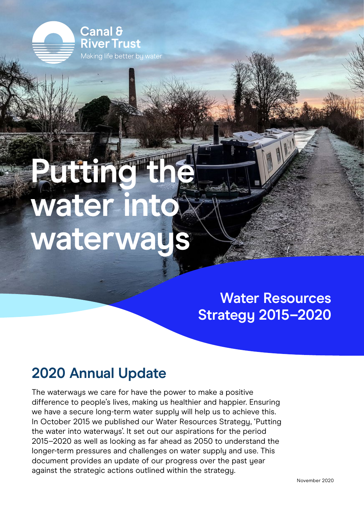Canal & **River Trust** Making life better by water

# **Putting the TTE** Water into **waterways**

**Water Resources Strategy 2015–2020**

## **2020 Annual Update**

The waterways we care for have the power to make a positive difference to people's lives, making us healthier and happier. Ensuring we have a secure long-term water supply will help us to achieve this. In October 2015 we published our Water Resources Strategy, 'Putting the water into waterways'. It set out our aspirations for the period 2015–2020 as well as looking as far ahead as 2050 to understand the longer-term pressures and challenges on water supply and use. This document provides an update of our progress over the past year against the strategic actions outlined within the strategy.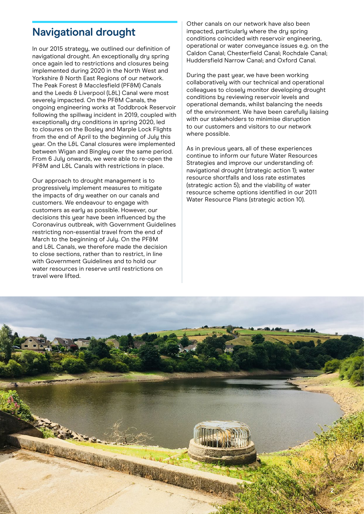#### **Navigational drought**

In our 2015 strategy, we outlined our definition of navigational drought. An exceptionally dry spring once again led to restrictions and closures being implemented during 2020 in the North West and Yorkshire & North East Regions of our network. The Peak Forest & Macclesfield (PF&M) Canals and the Leeds & Liverpool (L&L) Canal were most severely impacted. On the PF&M Canals, the ongoing engineering works at Toddbrook Reservoir following the spillway incident in 2019, coupled with exceptionally dry conditions in spring 2020, led to closures on the Bosley and Marple Lock Flights from the end of April to the beginning of July this uear. On the L&L Canal closures were implemented between Wigan and Bingley over the same period. From 6 July onwards, we were able to re-open the PF&M and L&L Canals with restrictions in place.

Our approach to drought management is to progressively implement measures to mitigate the impacts of dry weather on our canals and customers. We endeavour to engage with customers as early as possible. However, our decisions this year have been influenced by the Coronavirus outbreak, with Government Guidelines restricting non-essential travel from the end of March to the beginning of July. On the PF&M and L&L Canals, we therefore made the decision to close sections, rather than to restrict, in line with Government Guidelines and to hold our water resources in reserve until restrictions on travel were lifted.

Other canals on our network have also been impacted, particularly where the dry spring conditions coincided with reservoir engineering, operational or water conveyance issues e.g. on the Caldon Canal; Chesterfield Canal; Rochdale Canal; Huddersfield Narrow Canal; and Oxford Canal.

During the past year, we have been working collaboratively with our technical and operational colleagues to closely monitor developing drought conditions by reviewing reservoir levels and operational demands, whilst balancing the needs of the environment. We have been carefully liaising with our stakeholders to minimise disruption to our customers and visitors to our network where possible.

As in previous years, all of these experiences continue to inform our future Water Resources Strategies and improve our understanding of: navigational drought (strategic action 1); water resource shortfalls and loss rate estimates (strategic action 5); and the viability of water resource scheme options identified in our 2011 Water Resource Plans (strategic action 10).

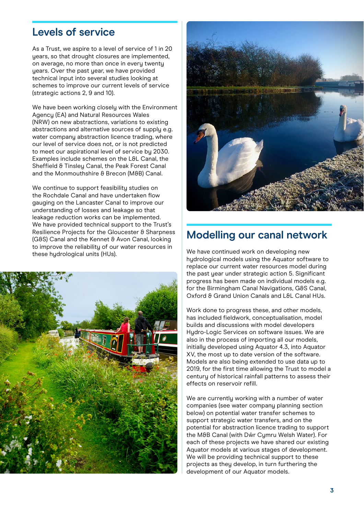#### **Levels of service**

As a Trust, we aspire to a level of service of 1 in 20 years, so that drought closures are implemented, on average, no more than once in every twenty years. Over the past year, we have provided technical input into several studies looking at schemes to improve our current levels of service (strategic actions 2, 9 and 10).

We have been working closely with the Environment Agency (EA) and Natural Resources Wales (NRW) on new abstractions, variations to existing abstractions and alternative sources of supply e.g. water company abstraction licence trading, where our level of service does not, or is not predicted to meet our aspirational level of service by 2030. Examples include schemes on the L&L Canal, the Sheffield & Tinsleu Canal, the Peak Forest Canal and the Monmouthshire & Brecon (M&B) Canal.

We continue to support feasibility studies on the Rochdale Canal and have undertaken flow gauging on the Lancaster Canal to improve our understanding of losses and leakage so that leakage reduction works can be implemented. We have provided technical support to the Trust's Resilience Projects for the Gloucester & Sharpness (G&S) Canal and the Kennet & Avon Canal, looking to improve the reliability of our water resources in these hydrological units (HUs).





#### **Modelling our canal network**

We have continued work on developing new hydrological models using the Aquator software to replace our current water resources model during the past year under strategic action 5. Significant progress has been made on individual models e.g. for the Birmingham Canal Navigations, G&S Canal, Oxford & Grand Union Canals and L&L Canal HUs.

Work done to progress these, and other models, has included fieldwork, conceptualisation, model builds and discussions with model developers Hydro-Logic Services on software issues. We are also in the process of importing all our models, initially developed using Aquator 4.3, into Aquator XV, the most up to date version of the software. Models are also being extended to use data up to 2019, for the first time allowing the Trust to model a century of historical rainfall patterns to assess their effects on reservoir refill.

We are currently working with a number of water companies (see water company planning section below) on potential water transfer schemes to support strategic water transfers, and on the potential for abstraction licence trading to support the M&B Canal (with Dŵr Cymru Welsh Water). For each of these projects we have shared our existing Aquator models at various stages of development. We will be providing technical support to these projects as they develop, in turn furthering the development of our Aquator models.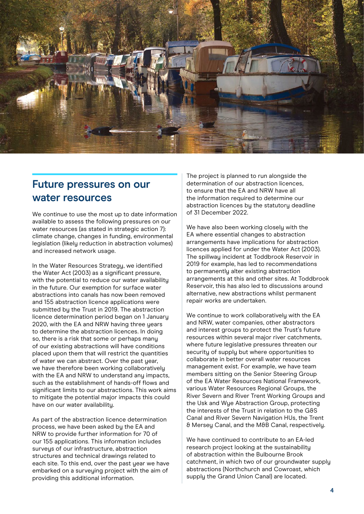

#### **Future pressures on our water resources**

We continue to use the most up to date information available to assess the following pressures on our water resources (as stated in strategic action 7): climate change, changes in funding, environmental legislation (likely reduction in abstraction volumes) and increased network usage.

In the Water Resources Strategy, we identified the Water Act (2003) as a significant pressure, with the potential to reduce our water availability in the future. Our exemption for surface water abstractions into canals has now been removed and 155 abstraction licence applications were submitted by the Trust in 2019. The abstraction licence determination period began on 1 January 2020, with the EA and NRW having three years to determine the abstraction licences. In doing so, there is a risk that some or perhaps many of our existing abstractions will have conditions placed upon them that will restrict the quantities of water we can abstract. Over the past year, we have therefore been working collaboratively with the EA and NRW to understand any impacts, such as the establishment of hands-off flows and significant limits to our abstractions. This work aims to mitigate the potential major impacts this could have on our water availability.

As part of the abstraction licence determination process, we have been asked by the EA and NRW to provide further information for 70 of our 155 applications. This information includes surveus of our infrastructure, abstraction structures and technical drawings related to each site. To this end, over the past year we have embarked on a surveying project with the aim of providing this additional information.

The project is planned to run alongside the determination of our abstraction licences, to ensure that the EA and NRW have all the information required to determine our abstraction licences bu the statutoru deadline of 31 December 2022.

We have also been working closely with the EA where essential changes to abstraction arrangements have implications for abstraction licences applied for under the Water Act (2003). The spillway incident at Toddbrook Reservoir in 2019 for example, has led to recommendations to permanently alter existing abstraction arrangements at this and other sites. At Toddbrook Reservoir, this has also led to discussions around alternative, new abstractions whilst permanent repair works are undertaken.

We continue to work collaboratively with the EA and NRW, water companies, other abstractors and interest groups to protect the Trust's future resources within several major river catchments, where future legislative pressures threaten our security of supply but where opportunities to collaborate in better overall water resources management exist. For example, we have team members sitting on the Senior Steering Group of the EA Water Resources National Framework, various Water Resources Regional Groups, the River Severn and River Trent Working Groups and the Usk and Wye Abstraction Group, protecting the interests of the Trust in relation to the G&S Canal and River Severn Navigation HUs, the Trent & Mersey Canal, and the M&B Canal, respectively.

We have continued to contribute to an EA-led research project looking at the sustainability of abstraction within the Bulbourne Brook catchment, in which two of our groundwater supply abstractions (Northchurch and Cowroast, which supply the Grand Union Canal) are located.